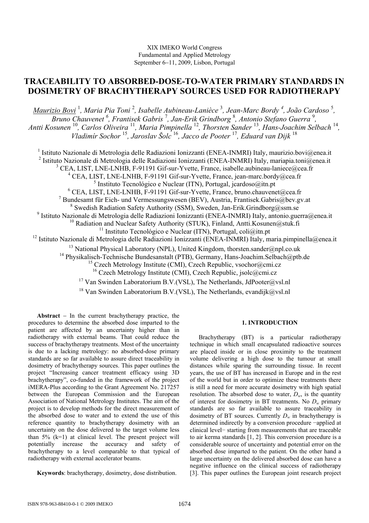# **TRACEABILITY TO ABSORBED-DOSE-TO-WATER PRIMARY STANDARDS IN DOSIMETRY OF BRACHYTHERAPY SOURCES USED FOR RADIOTHERAPY**

*Maurizio Bovi* <sup>1</sup> *, Maria Pia Toni* <sup>2</sup> *, Isabelle Aubineau-Lanièce* <sup>3</sup> *, Jean-Marc Bordy 4 , João Cardoso* <sup>5</sup> *, Bruno Chauvenet 6 , Frantisek Gabris* <sup>7</sup> *, Jan-Erik Grindborg* <sup>8</sup> *, Antonio Stefano Guerra* <sup>9</sup> *, Antti Kosunen* <sup>10</sup>*, Carlos Oliveira* <sup>11</sup>*, Maria Pimpinella* <sup>12</sup>*, Thorsten Sander* <sup>13</sup>*, Hans-Joachim Selbach* <sup>14</sup>*, Vladimír Sochor* <sup>15</sup>*, Jaroslav Šolc* <sup>16</sup>*, Jacco de Pooter* <sup>17</sup>*, Eduard van Dijk* <sup>18</sup>

<sup>1</sup> Istituto Nazionale di Metrologia delle Radiazioni Ionizzanti (ENEA-INMRI) Italy, maurizio.bovi@enea.it <sup>2</sup> Istituto Nazionale di Metrologia delle Radiazioni Ionizzanti (ENEA-INMRI) Italy, mariapia.toni@enea.it <sup>3</sup> CEA, LIST, LNE-LNHB, F-91191 Gif-sur-Yvette, France, isabelle.aubineau-laniece@cea.fr <sup>4</sup> CEA, LIST, LNE-LNHB, F-91191 Gif-sur-Yvette, France, jean-marc.bordy@cea.fr 5 Instituto Tecnológico e Nuclear (ITN), Portugal, jcardoso@itn.pt 6 CEA, LIST, LNE-LNHB, F-91191 Gif-sur-Yvette, France, bruno.chauvenet@cea.fr <sup>7</sup> Bundesamt für Eich- und Vermessungswesen (BEV), Austria, Frantisek.Gabris@bev.gv.at <sup>8</sup> Swedish Radiation Safety Authority (SSM), Sweden, Jan-Erik.Grindborg@ssm.se 9 Istituto Nazionale di Metrologia delle Radiazioni Ionizzanti (ENEA-INMRI) Italy, antonio.guerra@enea.it <sup>10</sup> Radiation and Nuclear Safety Authority (STUK), Finland, Antti.Kosunen@stuk.fi <sup>11</sup> Instituto Tecnológico e Nuclear (ITN), Portugal, coli $@$ itn.pt <sup>12</sup> Istituto Nazionale di Metrologia delle Radiazioni Ionizzanti (ENEA-INMRI) Italy, maria.pimpinella@enea.it <sup>13</sup> National Physical Laboratory (NPL), United Kingdom, thorsten.sander@npl.co.uk <sup>14</sup> Physikalisch-Technische Bundesanstalt (PTB), Germany, Hans-Joachim.Selbach@ptb.de <sup>15</sup> Czech Metrology Institute (CMI), Czech Republic, vsochor@cmi.cz

<sup>16</sup> Czech Metrology Institute (CMI), Czech Republic, jsolc@cmi.cz

<sup>17</sup> Van Swinden Laboratorium B.V.(VSL), The Netherlands, JdPooter@vsl.nl

<sup>18</sup> Van Swinden Laboratorium B.V.(VSL), The Netherlands, evandijk@vsl.nl

**Abstract** − In the current brachytherapy practice, the procedures to determine the absorbed dose imparted to the patient are affected by an uncertainty higher than in radiotherapy with external beams. That could reduce the success of brachytherapy treatments. Most of the uncertainty is due to a lacking metrology: no absorbed-dose primary standards are so far available to assure direct traceability in dosimetry of brachytherapy sources. This paper outlines the project "Increasing cancer treatment efficacy using 3D brachytherapy", co-funded in the framework of the project iMERA-Plus according to the Grant Agreement No. 217257 between the European Commission and the European Association of National Metrology Institutes. The aim of the project is to develop methods for the direct measurement of the absorbed dose to water and to extend the use of this reference quantity to brachytherapy dosimetry with an uncertainty on the dose delivered to the target volume less than  $5\%$  (k=1) at clinical level. The present project will potentially increase the accuracy and safety of brachytherapy to a level comparable to that typical of radiotherapy with external accelerator beams.

**Keywords**: brachytherapy, dosimetry, dose distribution.

## **1. INTRODUCTION**

Brachytherapy (BT) is a particular radiotherapy technique in which small encapsulated radioactive sources are placed inside or in close proximity to the treatment volume delivering a high dose to the tumour at small distances while sparing the surrounding tissue. In recent years, the use of BT has increased in Europe and in the rest of the world but in order to optimize these treatments there is still a need for more accurate dosimetry with high spatial resolution. The absorbed dose to water,  $D_w$ , is the quantity of interest for dosimetry in BT treatments. No *Dw* primary standards are so far available to assure traceability in dosimetry of BT sources. Currently  $D_w$  in brachytherapy is determined indirectly by a conversion procedure −applied at clinical level− starting from measurements that are traceable to air kerma standards [1, 2]. This conversion procedure is a considerable source of uncertainty and potential error on the absorbed dose imparted to the patient. On the other hand a large uncertainty on the delivered absorbed dose can have a negative influence on the clinical success of radiotherapy [3]. This paper outlines the European joint research project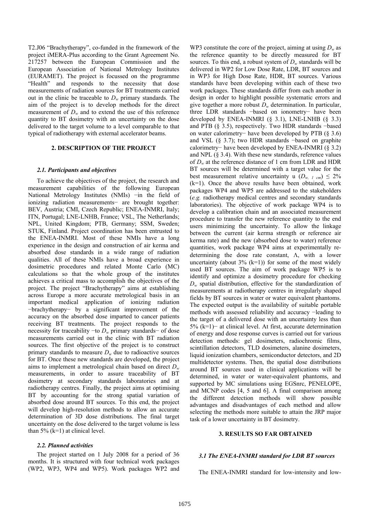T2.J06 "Brachytherapy", co-funded in the framework of the project iMERA-Plus according to the Grant Agreement No. 217257 between the European Commission and the European Association of National Metrology Institutes (EURAMET). The project is focussed on the programme "Health" and responds to the necessity that dose measurements of radiation sources for BT treatments carried out in the clinic be traceable to  $D_w$  primary standards. The aim of the project is to develop methods for the direct measurement of  $D_w$  and to extend the use of this reference quantity to BT dosimetry with an uncertainty on the dose delivered to the target volume to a level comparable to that typical of radiotherapy with external accelerator beams.

#### **2. DESCRIPTION OF THE PROJECT**

#### *2.1. Participants and objectives*

To achieve the objectives of the project, the research and measurement capabilities of the following European National Metrology Institutes (NMIs) −in the field of ionizing radiation measurements− are brought together: BEV, Austria; CMI, Czech Republic; ENEA-INMRI, Italy; ITN, Portugal; LNE-LNHB, France; VSL, The Netherlands; NPL, United Kingdom; PTB, Germany; SSM, Sweden; STUK, Finland. Project coordination has been entrusted to the ENEA-INMRI. Most of these NMIs have a long experience in the design and construction of air kerma and absorbed dose standards in a wide range of radiation qualities. All of these NMIs have a broad experience in dosimetric procedures and related Monte Carlo (MC) calculations so that the whole group of the institutes achieves a critical mass to accomplish the objectives of the project. The project "Brachytherapy" aims at establishing across Europe a more accurate metrological basis in an important medical application of ionizing radiation −brachytherapy− by a significant improvement of the accuracy on the absorbed dose imparted to cancer patients receiving BT treatments. The project responds to the necessity for traceability −to *D<sub>w</sub>* primary standards− of dose measurements carried out in the clinic with BT radiation sources. The first objective of the project is to construct primary standards to measure  $D_w$  due to radioactive sources for BT. Once these new standards are developed, the project aims to implement a metrological chain based on direct *Dw* measurements, in order to assure traceability of BT dosimetry at secondary standards laboratories and at radiotherapy centres. Finally, the project aims at optimising BT by accounting for the strong spatial variation of absorbed dose around BT sources. To this end, the project will develop high-resolution methods to allow an accurate determination of 3D dose distributions. The final target uncertainty on the dose delivered to the target volume is less than  $5\%$  (k=1) at clinical level.

## *2.2. Planned activities*

The project started on 1 July 2008 for a period of 36 months. It is structured with four technical work packages (WP2, WP3, WP4 and WP5). Work packages WP2 and WP3 constitute the core of the project, aiming at using  $D_w$  as the reference quantity to be directly measured for BT sources. To this end, a robust system of  $D_w$  standards will be delivered in WP2 for Low Dose Rate, LDR, BT sources and in WP3 for High Dose Rate, HDR, BT sources. Various standards have been developing within each of these two work packages. These standards differ from each another in design in order to highlight possible systematic errors and give together a more robust *Dw* determination. In particular, three LDR standards −based on ionometry− have been developed by ENEA-INMRI  $(\S$  3.1), LNE-LNHB  $(\S$  3.3) and PTB (§ 3.5), respectively. Two HDR standards −based on water calorimetry− have been developed by PTB (§ 3.6) and VSL (§ 3.7); two HDR standards −based on graphite calorimetry− have been developed by ENEA-INMRI (§ 3.2) and NPL (§ 3.4). With these new standards, reference values of *Dw* at the reference distance of 1 cm from LDR and HDR BT sources will be determined with a target value for the best measurement relative uncertainty u  $(D_{w, l \text{ cm}}) \leq 2\%$ (k=1). Once the above results have been obtained, work packages WP4 and WP5 are addressed to the stakeholders (*e.g.* radiotherapy medical centres and secondary standards laboratories). The objective of work package WP4 is to develop a calibration chain and an associated measurement procedure to transfer the new reference quantity to the end users minimizing the uncertainty. To allow the linkage between the current (air kerma strength or reference air kerma rate) and the new (absorbed dose to water) reference quantities, work package WP4 aims at experimentally redetermining the dose rate constant, Λ, with a lower uncertainty (about  $3\%$  (k=1)) for some of the most widely used BT sources. The aim of work package WP5 is to identify and optimize a dosimetry procedure for checking *Dw* spatial distribution, effective for the standardization of measurements at radiotherapy centres in irregularly shaped fields by BT sources in water or water equivalent phantoms. The expected output is the availability of suitable portable methods with assessed reliability and accuracy −leading to the target of a delivered dose with an uncertainty less than 5% (k=1)− at clinical level. At first, accurate determination of energy and dose response curves is carried out for various detection methods: gel dosimeters, radiochromic films, scintillation detectors, TLD dosimeters, alanine dosimeters, liquid ionization chambers, semiconductor detectors, and 2D multidetector systems. Then, the spatial dose distributions around BT sources used in clinical applications will be determined, in water or water-equivalent phantoms, and supported by MC simulations using EGSnrc, PENELOPE, and MCNP codes [4, 5 and 6]. A final comparison among the different detection methods will show possible advantages and disadvantages of each method and allow selecting the methods more suitable to attain the JRP major task of a lower uncertainty in BT dosimetry.

## **3. RESULTS SO FAR OBTAINED**

#### *3.1 The ENEA-INMRI standard for LDR BT sources*

The ENEA-INMRI standard for low-intensity and low-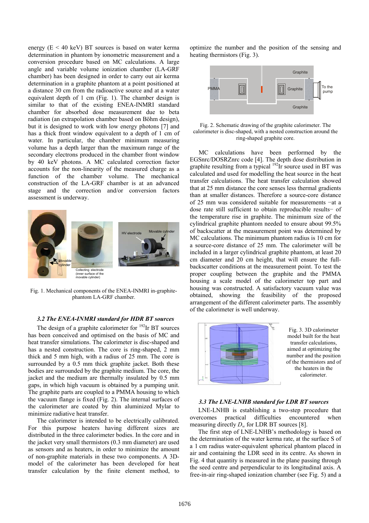energy  $(E < 40 \text{ keV})$  BT sources is based on water kerma determination in phantom by ionometric measurement and a conversion procedure based on MC calculations. A large angle and variable volume ionization chamber (LA-GRF chamber) has been designed in order to carry out air kerma determination in a graphite phantom at a point positioned at a distance 30 cm from the radioactive source and at a water equivalent depth of 1 cm (Fig. 1). The chamber design is similar to that of the existing ENEA-INMRI standard chamber for absorbed dose measurement due to beta radiation (an extrapolation chamber based on Böhm design), but it is designed to work with low energy photons [7] and has a thick front window equivalent to a depth of 1 cm of water. In particular, the chamber minimum measuring volume has a depth larger than the maximum range of the secondary electrons produced in the chamber front window by 40 keV photons. A MC calculated correction factor accounts for the non-linearity of the measured charge as a function of the chamber volume. The mechanical construction of the LA-GRF chamber is at an advanced stage and the correction and/or conversion factors assessment is underway.



Fig. 1. Mechanical components of the ENEA-INMRI in-graphitephantom LA-GRF chamber.

## *3.2 The ENEA-INMRI standard for HDR BT sources*

The design of a graphite calorimeter for  $192$ Ir BT sources has been conceived and optimised on the basis of MC and heat transfer simulations. The calorimeter is disc-shaped and has a nested construction. The core is ring-shaped, 2 mm thick and 5 mm high, with a radius of 25 mm. The core is surrounded by a 0.5 mm thick graphite jacket. Both these bodies are surrounded by the graphite medium. The core, the jacket and the medium are thermally insulated by 0.5 mm gaps, in which high vacuum is obtained by a pumping unit. The graphite parts are coupled to a PMMA housing to which the vacuum flange is fixed (Fig. 2). The internal surfaces of the calorimeter are coated by thin aluminized Mylar to minimize radiative heat transfer.

The calorimeter is intended to be electrically calibrated. For this purpose heaters having different sizes are distributed in the three calorimeter bodies. In the core and in the jacket very small thermistors (0.3 mm diameter) are used as sensors and as heaters, in order to minimize the amount of non-graphite materials in these two components. A 3Dmodel of the calorimeter has been developed for heat transfer calculation by the finite element method, to optimize the number and the position of the sensing and heating thermistors (Fig. 3).



Fig. 2. Schematic drawing of the graphite calorimeter. The calorimeter is disc-shaped, with a nested construction around the ring-shaped graphite core.

MC calculations have been performed by the EGSnrc/DOSRZnrc code [4]. The depth dose distribution in graphite resulting from a typical  $192$ Ir source used in BT was calculated and used for modelling the heat source in the heat transfer calculations. The heat transfer calculation showed that at 25 mm distance the core senses less thermal gradients than at smaller distances. Therefore a source-core distance of 25 mm was considered suitable for measurements −at a dose rate still sufficient to obtain reproducible results− of the temperature rise in graphite. The minimum size of the cylindrical graphite phantom needed to ensure about 99.5% of backscatter at the measurement point was determined by MC calculations. The minimum phantom radius is 10 cm for a source-core distance of 25 mm. The calorimeter will be included in a larger cylindrical graphite phantom, at least 20 cm diameter and 20 cm height, that will ensure the fullbackscatter conditions at the measurement point. To test the proper coupling between the graphite and the PMMA housing a scale model of the calorimeter top part and housing was constructed. A satisfactory vacuum value was obtained, showing the feasibility of the proposed arrangement of the different calorimeter parts. The assembly of the calorimeter is well underway.



Fig. 3. 3D calorimeter model built for the heat transfer calculations, aimed at optimizing the number and the position of the thermistors and of the heaters in the calorimeter.

#### *3.3 The LNE-LNHB standard for LDR BT sources*

LNE-LNHB is establishing a two-step procedure that overcomes practical difficulties encountered when measuring directly  $D_w$  for LDR BT sources [8].

The first step of LNE-LNHB's methodology is based on the determination of the water kerma rate, at the surface S of a 1 cm radius water-equivalent spherical phantom placed in air and containing the LDR seed in its centre. As shown in Fig. 4 that quantity is measured in the plane passing through the seed centre and perpendicular to its longitudinal axis. A free-in-air ring-shaped ionization chamber (see Fig. 5) and a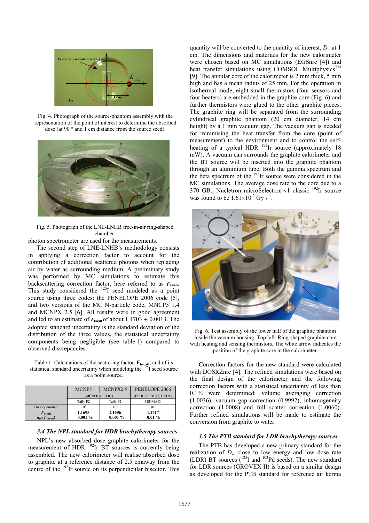

Fig. 4. Photograph of the source-phantom assembly with the representation of the point of interest to determine the absorbed dose (at 90 ° and 1 cm distance from the source seed).



Fig. 5. Photograph of the LNE-LNHB free-in-air ring-shaped chamber.

photon spectrometer are used for the measurements.

The second step of LNE-LNHB's methodology consists in applying a correction factor to account for the contribution of additional scattered photons when replacing air by water as surrounding medium. A preliminary study was performed by MC simulations to estimate this backscattering correction factor, here referred to as *F***bscatt**. This study considered the  $^{125}I$  seed modeled as a point source using three codes: the PENELOPE 2006 code [5], and two versions of the MC N-particle code, MNCP5 1.4 and MCNPX 2.5 [6]. All results were in good agreement and led to an estimate of  $F_{\text{best}}$  of about 1.1703  $\pm$  0.0013. The adopted standard uncertainty is the standard deviation of the distribution of the three values, the statistical uncertainty components being negligible (see table 1) compared to observed discrepancies.

Table 1: Calculations of the scattering factor,  $\mathbf{F}_{\text{bsçatt}}$ , and of its statistical standard uncertainty when modeling the  $^{125}$ I seed source as a point source.

|                              | MCNP <sub>5</sub>    | MCNPX2.5             | PENELOPE 2006        |
|------------------------------|----------------------|----------------------|----------------------|
|                              | (MCPLIB4, EL03)      |                      | (EPDL, EPDL97, EADL) |
|                              | Tally F <sub>2</sub> | Tally F <sub>2</sub> | <b>PENMAIN</b>       |
| History number               | $10^{8}$             | $10^{8}$             | 107                  |
| $F_{\text{bscatt}}$          | 1.1695               | 1.1696               | 1.1717               |
| $u_{rel}(F_{\text{bscatt}})$ | $0.001\%$            | $0.001\%$            | $0.01\%$             |

#### *3.4 The NPL standard for HDR brachytherapy sources*

NPL's new absorbed dose graphite calorimeter for the measurement of HDR  $^{192}$ Ir BT sources is currently being assembled. The new calorimeter will realise absorbed dose to graphite at a reference distance of 2.5 cmaway from the centre of the 192Ir source on its perpendicular bisector. This quantity will be converted to the quantity of interest,  $D_w$  at 1 cm. The dimensions and materials for the new calorimeter were chosen based on MC simulations (EGSnrc [4]) and heat transfer simulations using COMSOL Multiphysics<sup>TM</sup> [9]. The annular core of the calorimeter is 2 mm thick, 5 mm high and has a mean radius of 25 mm. For the operation in isothermal mode, eight small thermistors (four sensors and four heaters) are embedded in the graphite core (Fig. 6) and further thermistors were glued to the other graphite pieces. The graphite ring will be separated from the surrounding cylindrical graphite phantom (20 cm diameter, 14 cm height) by a 1 mm vacuum gap. The vacuum gap is needed for minimising the heat transfer from the core (point of measurement) to the environment and to control the selfheating of a typical HDR  $^{192}$ Ir source (approximately 18 mW). A vacuum can surrounds the graphite calorimeter and the BT source will be inserted into the graphite phantom through an aluminium tube. Both the gamma spectrum and the beta spectrum of the 192Ir source were considered in the MC simulations. The average dose rate to the core due to a 370 GBq Nucletron microSelectron-v1 classic 192Ir source was found to be  $1.61\times10^{-2}$  Gy s<sup>-1</sup>.



Fig. 6. Test assembly of the lower half of the graphite phantom inside the vacuum housing. Top left: Ring-shaped graphite core with heating and sensing thermistors. The white arrow indicates the position of the graphite core in the calorimeter.

Correction factors for the new standard were calculated with DOSRZnrc [4]. The refined simulations were based on the final design of the calorimeter and the following correction factors with a statistical uncertainty of less than 0.1% were determined: volume averaging correction (1.0036), vacuum gap correction (0.9992), inhomogeneity correction (1.0008) and full scatter correction (1.0060). Further refined simulations will be made to estimate the conversion from graphite to water.

#### *3.5 The PTB standard for LDR brachytherapy sources*

The PTB has developed a new primary standard for the realization of  $D_w$  close to low energy and low dose rate (LDR) BT sources  $(125)$  and  $103$ Pd seeds). The new standard for LDR sources (GROVEX II) is based on a similar design as developed for the PTB standard for reference air kerma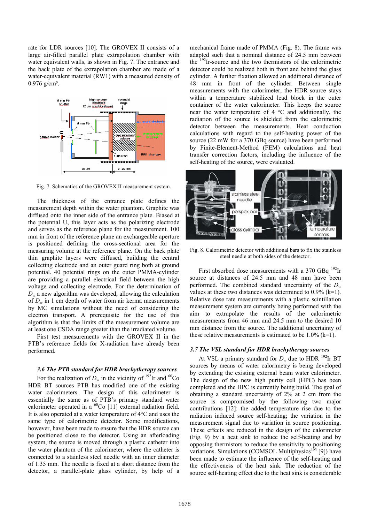rate for LDR sources [10]. The GROVEX II consists of a large air-filled parallel plate extrapolation chamber with water equivalent walls, as shown in Fig. 7. The entrance and the back plate of the extrapolation chamber are made of a water-equivalent material (RW1) with a measured density of  $0.976$  g/cm<sup>3</sup>.



Fig. 7. Schematics of the GROVEX II measurement system.

The thickness of the entrance plate defines the measurement depth within the water phantom. Graphite was diffused onto the inner side of the entrance plate. Biased at the potential U, this layer acts as the polarizing electrode and serves as the reference plane for the measurement. 100 mm in front of the reference plane an exchangeable aperture is positioned defining the cross-sectional area for the measuring volume at the reference plane. On the back plate thin graphite layers were diffused, building the central collecting electrode and an outer guard ring both at ground potential. 40 potential rings on the outer PMMA-cylinder are providing a parallel electrical field between the high voltage and collecting electrode. For the determination of  $D_w$  a new algorithm was developed, allowing the calculation of  $D_w$  in 1 cm depth of water from air kerma measurements by MC simulations without the need of considering the electron transport. A prerequisite for the use of this algorithm is that the limits of the measurement volume are at least one CSDA range greater than the irradiated volume.

First test measurements with the GROVEX II in the PTB's reference fields for X-radiation have already been performed.

## *3.6 The PTB standard for HDR brachytherapy sources*

For the realization of  $D_w$  in the vicinity of <sup>192</sup>Ir and <sup>60</sup>Co HDR BT sources PTB has modified one of the existing water calorimeters. The design of this calorimeter is essentially the same as of PTB's primary standard water calorimeter operated in a  ${}^{60}Co$  [11] external radiation field. It is also operated at a water temperature of 4°C and uses the same type of calorimetric detector. Some modifications, however, have been made to ensure that the HDR source can be positioned close to the detector. Using an afterloading system, the source is moved through a plastic catheter into the water phantom of the calorimeter, where the catheter is connected to a stainless steel needle with an inner diameter of 1.35 mm. The needle is fixed at a short distance from the detector, a parallel-plate glass cylinder, by help of a mechanical frame made of PMMA (Fig. 8). The frame was adapted such that a nominal distance of 24.5 mm between the 192Ir-source and the two thermistors of the calorimetric detector could be realized both in front and behind the glass cylinder. A further fixation allowed an additional distance of 48 mm in front of the cylinder. Between single measurements with the calorimeter, the HDR source stays within a temperature stabilized lead block in the outer container of the water calorimeter. This keeps the source near the water temperature of 4 °C and additionally, the radiation of the source is shielded from the calorimetric detector between the measurements. Heat conduction calculations with regard to the self-heating power of the source (22 mW for a 370 GBq source) have been performed by Finite-Element-Method (FEM) calculations and heat transfer correction factors, including the influence of the self-heating of the source, were evaluated.



Fig. 8. Calorimetric detector with additional bars to fix the stainless steel needle at both sides of the detector.

First absorbed dose measurements with a 370 GBq  $^{192}$ Ir source at distances of 24.5 mm and 48 mm have been performed. The combined standard uncertainty of the  $D_w$ values at these two distances was determined to  $0.9\%$  (k=1). Relative dose rate measurements with a plastic scintillation measurement system are currently being performed with the aim to extrapolate the results of the calorimetric measurements from 46 mm and 24.5 mm to the desired 10 mm distance from the source. The additional uncertainty of these relative measurements is estimated to be  $1.0\%$  (k=1).

## *3.7 The VSL standard for HDR brachytherapy sources*

At VSL a primary standard for  $D_w$  due to HDR <sup>192</sup>Ir BT sources by means of water calorimetry is being developed by extending the existing external beam water calorimeter. The design of the new high purity cell (HPC) has been completed and the HPC is currently being build. The goal of obtaining a standard uncertainty of 2% at 2 cm from the source is compromised by the following two major contributions [12]: the added temperature rise due to the radiation induced source self-heating; the variation in the measurement signal due to variation in source positioning. These effects are reduced in the design of the calorimeter (Fig. 9) by a heat sink to reduce the self-heating and by opposing thermistors to reduce the sensitivity to positioning variations. Simulations (COMSOL Multiphysics<sup>TM</sup> [9]) have been made to estimate the influence of the self-heating and the effectiveness of the heat sink. The reduction of the source self-heating effect due to the heat sink is considerable